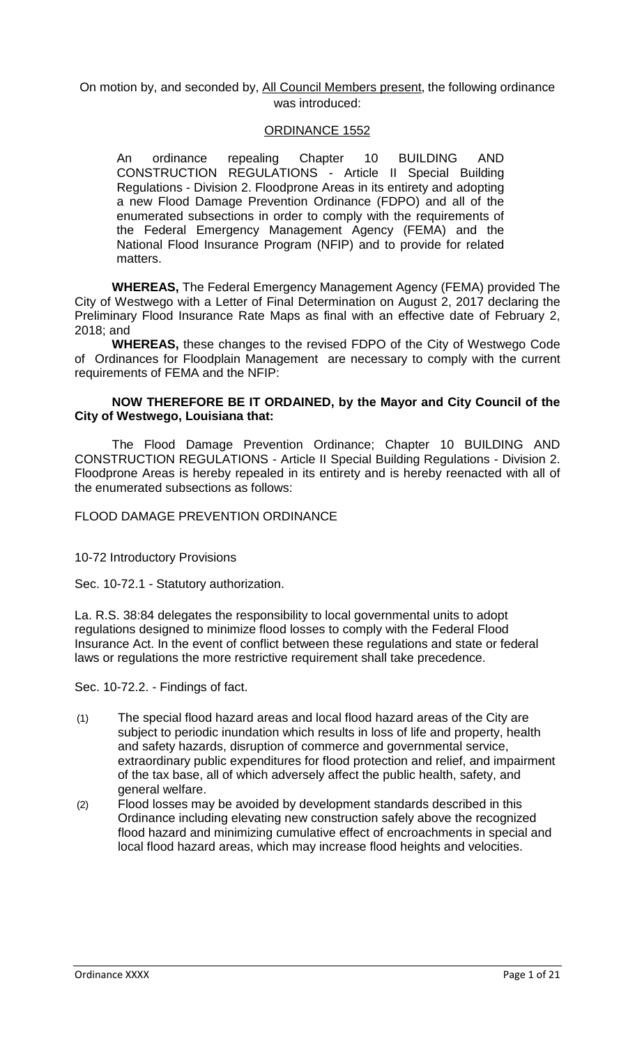### On motion by, and seconded by, All Council Members present, the following ordinance was introduced:

#### ORDINANCE 1552

An ordinance repealing Chapter 10 BUILDING AND CONSTRUCTION REGULATIONS - Article II Special Building Regulations - Division 2. Floodprone Areas in its entirety and adopting a new Flood Damage Prevention Ordinance (FDPO) and all of the enumerated subsections in order to comply with the requirements of the Federal Emergency Management Agency (FEMA) and the National Flood Insurance Program (NFIP) and to provide for related matters.

**WHEREAS,** The Federal Emergency Management Agency (FEMA) provided The City of Westwego with a Letter of Final Determination on August 2, 2017 declaring the Preliminary Flood Insurance Rate Maps as final with an effective date of February 2, 2018; and

**WHEREAS,** these changes to the revised FDPO of the City of Westwego Code of Ordinances for Floodplain Management are necessary to comply with the current requirements of FEMA and the NFIP:

### **NOW THEREFORE BE IT ORDAINED, by the Mayor and City Council of the City of Westwego, Louisiana that:**

The Flood Damage Prevention Ordinance; Chapter 10 BUILDING AND CONSTRUCTION REGULATIONS - Article II Special Building Regulations - Division 2. Floodprone Areas is hereby repealed in its entirety and is hereby reenacted with all of the enumerated subsections as follows:

### FLOOD DAMAGE PREVENTION ORDINANCE

#### 10-72 Introductory Provisions

Sec. 10-72.1 - Statutory authorization.

La. R.S. 38:84 delegates the responsibility to local governmental units to adopt regulations designed to minimize flood losses to comply with the Federal Flood Insurance Act. In the event of conflict between these regulations and state or federal laws or regulations the more restrictive requirement shall take precedence.

Sec. 10-72.2. - Findings of fact.

- (1) The special flood hazard areas and local flood hazard areas of the City are subject to periodic inundation which results in loss of life and property, health and safety hazards, disruption of commerce and governmental service, extraordinary public expenditures for flood protection and relief, and impairment of the tax base, all of which adversely affect the public health, safety, and general welfare.
- (2) Flood losses may be avoided by development standards described in this Ordinance including elevating new construction safely above the recognized flood hazard and minimizing cumulative effect of encroachments in special and local flood hazard areas, which may increase flood heights and velocities.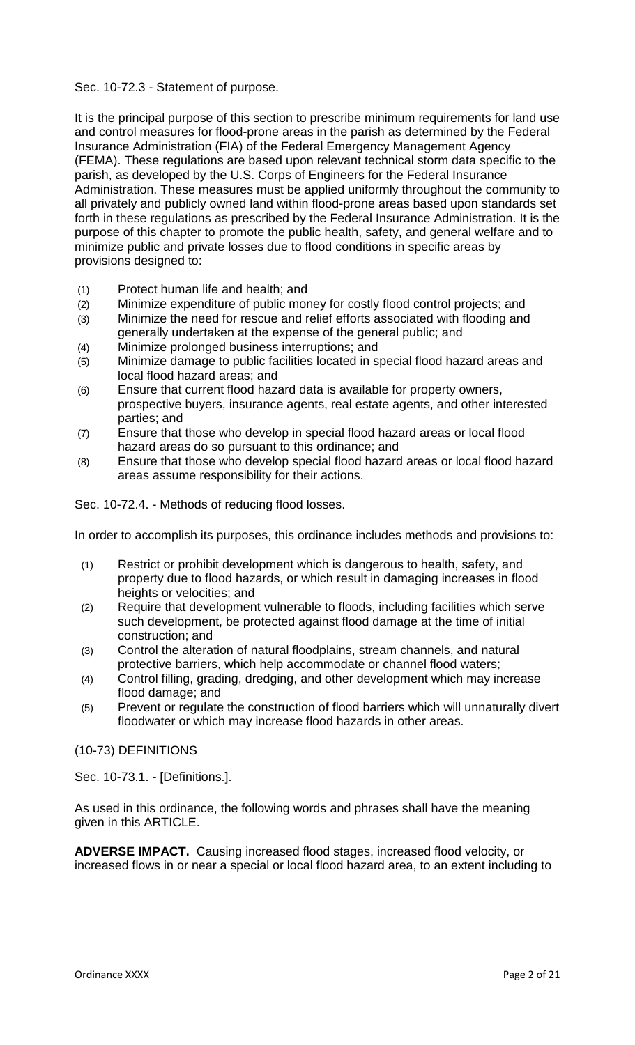### Sec. 10-72.3 - Statement of purpose.

It is the principal purpose of this section to prescribe minimum requirements for land use and control measures for flood-prone areas in the parish as determined by the Federal Insurance Administration (FIA) of the Federal Emergency Management Agency (FEMA). These regulations are based upon relevant technical storm data specific to the parish, as developed by the U.S. Corps of Engineers for the Federal Insurance Administration. These measures must be applied uniformly throughout the community to all privately and publicly owned land within flood-prone areas based upon standards set forth in these regulations as prescribed by the Federal Insurance Administration. It is the purpose of this chapter to promote the public health, safety, and general welfare and to minimize public and private losses due to flood conditions in specific areas by provisions designed to:

- (1) Protect human life and health; and
- (2) Minimize expenditure of public money for costly flood control projects; and
- (3) Minimize the need for rescue and relief efforts associated with flooding and generally undertaken at the expense of the general public; and
- (4) Minimize prolonged business interruptions; and
- (5) Minimize damage to public facilities located in special flood hazard areas and local flood hazard areas; and
- (6) Ensure that current flood hazard data is available for property owners, prospective buyers, insurance agents, real estate agents, and other interested parties; and
- (7) Ensure that those who develop in special flood hazard areas or local flood hazard areas do so pursuant to this ordinance; and
- (8) Ensure that those who develop special flood hazard areas or local flood hazard areas assume responsibility for their actions.

Sec. 10-72.4. - Methods of reducing flood losses.

In order to accomplish its purposes, this ordinance includes methods and provisions to:

- (1) Restrict or prohibit development which is dangerous to health, safety, and property due to flood hazards, or which result in damaging increases in flood heights or velocities; and
- (2) Require that development vulnerable to floods, including facilities which serve such development, be protected against flood damage at the time of initial construction; and
- (3) Control the alteration of natural floodplains, stream channels, and natural protective barriers, which help accommodate or channel flood waters;
- (4) Control filling, grading, dredging, and other development which may increase flood damage; and
- (5) Prevent or regulate the construction of flood barriers which will unnaturally divert floodwater or which may increase flood hazards in other areas.

### (10-73) DEFINITIONS

Sec. 10-73.1. - [Definitions.].

As used in this ordinance, the following words and phrases shall have the meaning given in this ARTICLE.

**ADVERSE IMPACT.** Causing increased flood stages, increased flood velocity, or increased flows in or near a special or local flood hazard area, to an extent including to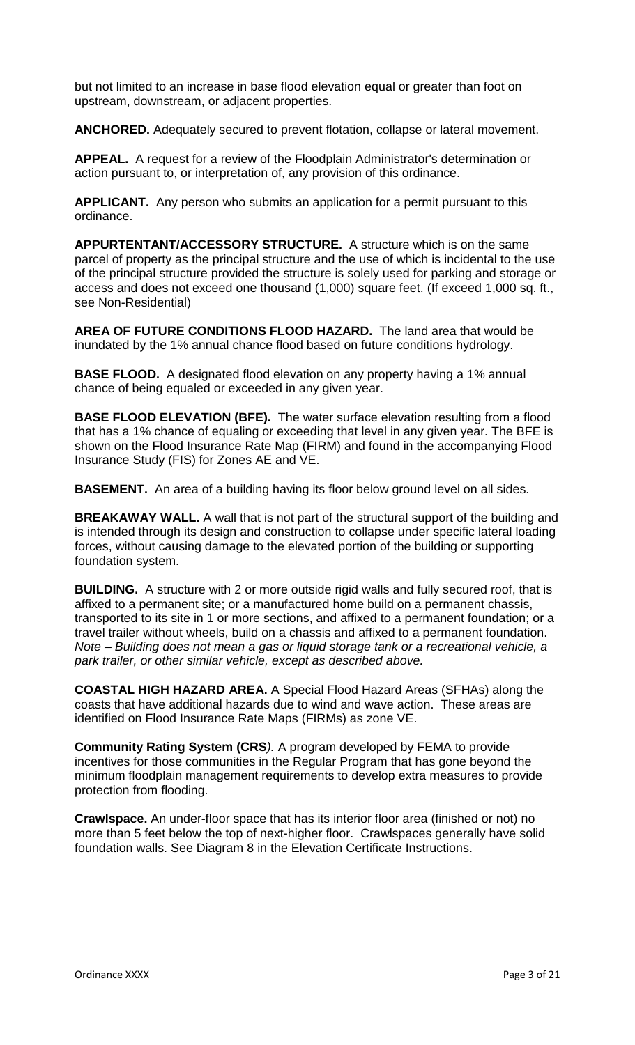but not limited to an increase in base flood elevation equal or greater than foot on upstream, downstream, or adjacent properties.

**ANCHORED.** Adequately secured to prevent flotation, collapse or lateral movement.

**APPEAL.** A request for a review of the Floodplain Administrator's determination or action pursuant to, or interpretation of, any provision of this ordinance.

**APPLICANT.** Any person who submits an application for a permit pursuant to this ordinance.

**APPURTENTANT/ACCESSORY STRUCTURE.** A structure which is on the same parcel of property as the principal structure and the use of which is incidental to the use of the principal structure provided the structure is solely used for parking and storage or access and does not exceed one thousand (1,000) square feet. (If exceed 1,000 sq. ft., see Non-Residential)

**AREA OF FUTURE CONDITIONS FLOOD HAZARD.** The land area that would be inundated by the 1% annual chance flood based on future conditions hydrology.

**BASE FLOOD.** A designated flood elevation on any property having a 1% annual chance of being equaled or exceeded in any given year.

**BASE FLOOD ELEVATION (BFE).** The water surface elevation resulting from a flood that has a 1% chance of equaling or exceeding that level in any given year. The BFE is shown on the Flood Insurance Rate Map (FIRM) and found in the accompanying Flood Insurance Study (FIS) for Zones AE and VE.

**BASEMENT.** An area of a building having its floor below ground level on all sides.

**BREAKAWAY WALL.** A wall that is not part of the structural support of the building and is intended through its design and construction to collapse under specific lateral loading forces, without causing damage to the elevated portion of the building or supporting foundation system.

**BUILDING.** A structure with 2 or more outside rigid walls and fully secured roof, that is affixed to a permanent site; or a manufactured home build on a permanent chassis, transported to its site in 1 or more sections, and affixed to a permanent foundation; or a travel trailer without wheels, build on a chassis and affixed to a permanent foundation. *Note – Building does not mean a gas or liquid storage tank or a recreational vehicle, a park trailer, or other similar vehicle, except as described above.*

**COASTAL HIGH HAZARD AREA.** A Special Flood Hazard Areas (SFHAs) along the coasts that have additional hazards due to wind and wave action. These areas are identified on Flood Insurance Rate Maps (FIRMs) as zone VE.

**Community Rating System (CRS***).* A program developed by FEMA to provide incentives for those communities in the Regular Program that has gone beyond the minimum floodplain management requirements to develop extra measures to provide protection from flooding.

**Crawlspace.** An under-floor space that has its interior floor area (finished or not) no more than 5 feet below the top of next-higher floor. Crawlspaces generally have solid foundation walls. See Diagram 8 in the Elevation Certificate Instructions.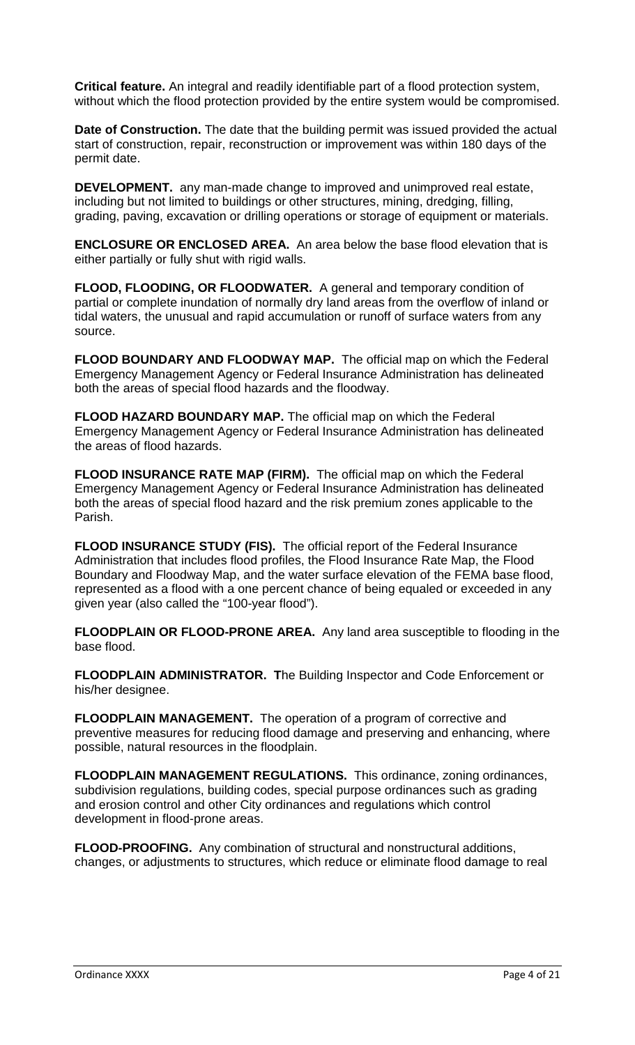**Critical feature.** An integral and readily identifiable part of a flood protection system, without which the flood protection provided by the entire system would be compromised.

**Date of Construction.** The date that the building permit was issued provided the actual start of construction, repair, reconstruction or improvement was within 180 days of the permit date.

**DEVELOPMENT.** any man-made change to improved and unimproved real estate, including but not limited to buildings or other structures, mining, dredging, filling, grading, paving, excavation or drilling operations or storage of equipment or materials.

**ENCLOSURE OR ENCLOSED AREA.** An area below the base flood elevation that is either partially or fully shut with rigid walls.

**FLOOD, FLOODING, OR FLOODWATER.** A general and temporary condition of partial or complete inundation of normally dry land areas from the overflow of inland or tidal waters, the unusual and rapid accumulation or runoff of surface waters from any source.

**FLOOD BOUNDARY AND FLOODWAY MAP.** The official map on which the Federal Emergency Management Agency or Federal Insurance Administration has delineated both the areas of special flood hazards and the floodway.

**FLOOD HAZARD BOUNDARY MAP.** The official map on which the Federal Emergency Management Agency or Federal Insurance Administration has delineated the areas of flood hazards.

**FLOOD INSURANCE RATE MAP (FIRM).** The official map on which the Federal Emergency Management Agency or Federal Insurance Administration has delineated both the areas of special flood hazard and the risk premium zones applicable to the Parish.

**FLOOD INSURANCE STUDY (FIS).** The official report of the Federal Insurance Administration that includes flood profiles, the Flood Insurance Rate Map, the Flood Boundary and Floodway Map, and the water surface elevation of the FEMA base flood, represented as a flood with a one percent chance of being equaled or exceeded in any given year (also called the "100-year flood").

**FLOODPLAIN OR FLOOD-PRONE AREA.** Any land area susceptible to flooding in the base flood.

**FLOODPLAIN ADMINISTRATOR. T**he Building Inspector and Code Enforcement or his/her designee.

**FLOODPLAIN MANAGEMENT.** The operation of a program of corrective and preventive measures for reducing flood damage and preserving and enhancing, where possible, natural resources in the floodplain.

**FLOODPLAIN MANAGEMENT REGULATIONS.** This ordinance, zoning ordinances, subdivision regulations, building codes, special purpose ordinances such as grading and erosion control and other City ordinances and regulations which control development in flood-prone areas.

**FLOOD-PROOFING.** Any combination of structural and nonstructural additions, changes, or adjustments to structures, which reduce or eliminate flood damage to real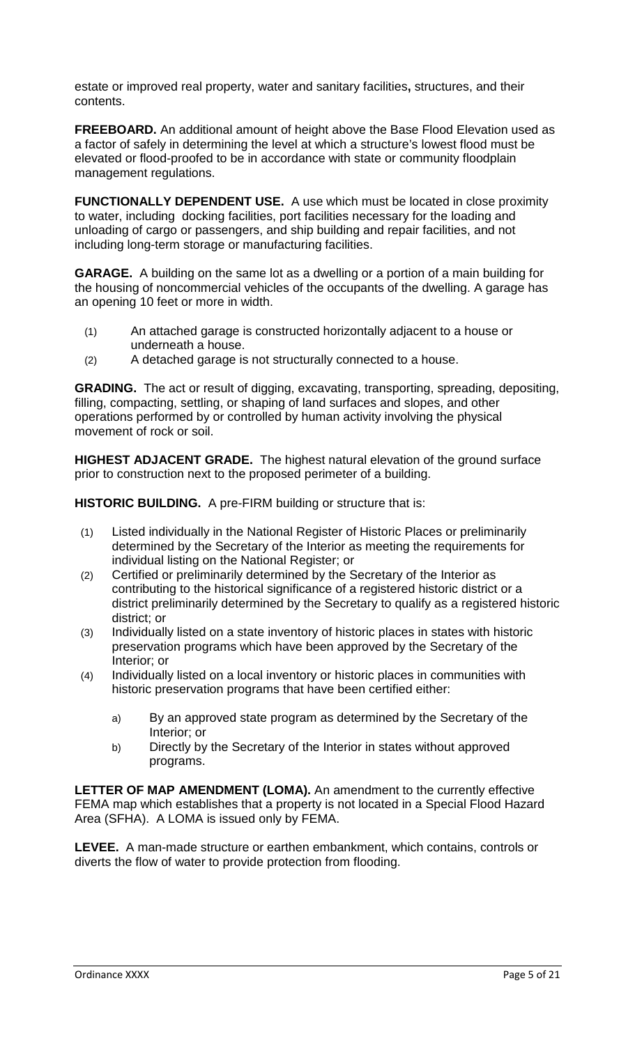estate or improved real property, water and sanitary facilities**,** structures, and their contents.

**FREEBOARD.** An additional amount of height above the Base Flood Elevation used as a factor of safely in determining the level at which a structure's lowest flood must be elevated or flood-proofed to be in accordance with state or community floodplain management regulations.

**FUNCTIONALLY DEPENDENT USE.** A use which must be located in close proximity to water, including docking facilities, port facilities necessary for the loading and unloading of cargo or passengers, and ship building and repair facilities, and not including long-term storage or manufacturing facilities.

**GARAGE.** A building on the same lot as a dwelling or a portion of a main building for the housing of noncommercial vehicles of the occupants of the dwelling. A garage has an opening 10 feet or more in width.

- (1) An attached garage is constructed horizontally adjacent to a house or underneath a house.
- (2) A detached garage is not structurally connected to a house.

**GRADING.** The act or result of digging, excavating, transporting, spreading, depositing, filling, compacting, settling, or shaping of land surfaces and slopes, and other operations performed by or controlled by human activity involving the physical movement of rock or soil.

**HIGHEST ADJACENT GRADE.** The highest natural elevation of the ground surface prior to construction next to the proposed perimeter of a building.

**HISTORIC BUILDING.** A pre-FIRM building or structure that is:

- (1) Listed individually in the National Register of Historic Places or preliminarily determined by the Secretary of the Interior as meeting the requirements for individual listing on the National Register; or
- (2) Certified or preliminarily determined by the Secretary of the Interior as contributing to the historical significance of a registered historic district or a district preliminarily determined by the Secretary to qualify as a registered historic district; or
- (3) Individually listed on a state inventory of historic places in states with historic preservation programs which have been approved by the Secretary of the Interior; or
- (4) Individually listed on a local inventory or historic places in communities with historic preservation programs that have been certified either:
	- a) By an approved state program as determined by the Secretary of the Interior; or
	- b) Directly by the Secretary of the Interior in states without approved programs.

**LETTER OF MAP AMENDMENT (LOMA).** An amendment to the currently effective FEMA map which establishes that a property is not located in a Special Flood Hazard Area (SFHA). A LOMA is issued only by FEMA.

**LEVEE.** A man-made structure or earthen embankment, which contains, controls or diverts the flow of water to provide protection from flooding.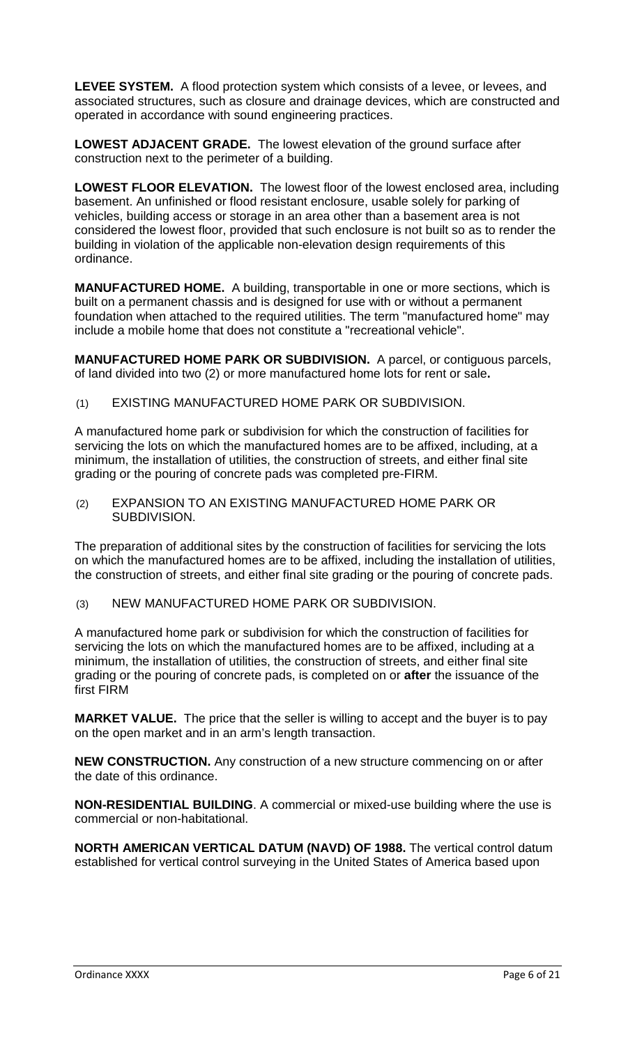**LEVEE SYSTEM.** A flood protection system which consists of a levee, or levees, and associated structures, such as closure and drainage devices, which are constructed and operated in accordance with sound engineering practices.

**LOWEST ADJACENT GRADE.** The lowest elevation of the ground surface after construction next to the perimeter of a building.

**LOWEST FLOOR ELEVATION.** The lowest floor of the lowest enclosed area, including basement. An unfinished or flood resistant enclosure, usable solely for parking of vehicles, building access or storage in an area other than a basement area is not considered the lowest floor, provided that such enclosure is not built so as to render the building in violation of the applicable non-elevation design requirements of this ordinance.

**MANUFACTURED HOME.** A building, transportable in one or more sections, which is built on a permanent chassis and is designed for use with or without a permanent foundation when attached to the required utilities. The term "manufactured home" may include a mobile home that does not constitute a "recreational vehicle".

**MANUFACTURED HOME PARK OR SUBDIVISION.** A parcel, or contiguous parcels, of land divided into two (2) or more manufactured home lots for rent or sale**.**

(1) EXISTING MANUFACTURED HOME PARK OR SUBDIVISION.

A manufactured home park or subdivision for which the construction of facilities for servicing the lots on which the manufactured homes are to be affixed, including, at a minimum, the installation of utilities, the construction of streets, and either final site grading or the pouring of concrete pads was completed pre-FIRM.

(2) EXPANSION TO AN EXISTING MANUFACTURED HOME PARK OR SUBDIVISION.

The preparation of additional sites by the construction of facilities for servicing the lots on which the manufactured homes are to be affixed, including the installation of utilities, the construction of streets, and either final site grading or the pouring of concrete pads.

(3) NEW MANUFACTURED HOME PARK OR SUBDIVISION.

A manufactured home park or subdivision for which the construction of facilities for servicing the lots on which the manufactured homes are to be affixed, including at a minimum, the installation of utilities, the construction of streets, and either final site grading or the pouring of concrete pads, is completed on or **after** the issuance of the first FIRM

**MARKET VALUE.** The price that the seller is willing to accept and the buyer is to pay on the open market and in an arm's length transaction.

**NEW CONSTRUCTION.** Any construction of a new structure commencing on or after the date of this ordinance.

**NON-RESIDENTIAL BUILDING**. A commercial or mixed-use building where the use is commercial or non-habitational.

**NORTH AMERICAN VERTICAL DATUM (NAVD) OF 1988.** The vertical control datum established for vertical control surveying in the United States of America based upon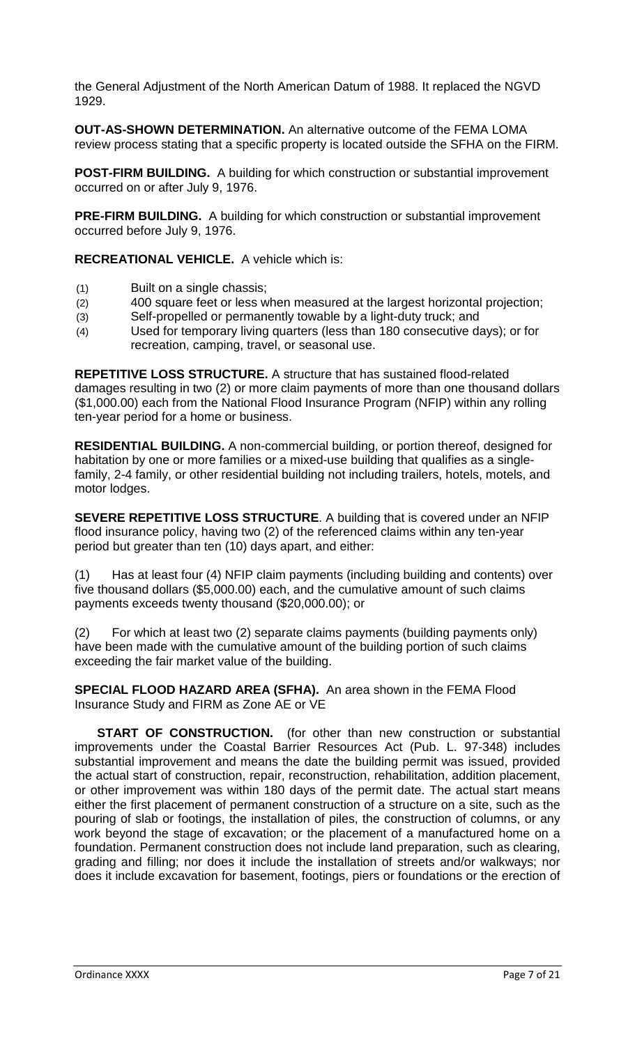the General Adjustment of the North American Datum of 1988. It replaced the NGVD 1929.

**OUT-AS-SHOWN DETERMINATION.** An alternative outcome of the FEMA LOMA review process stating that a specific property is located outside the SFHA on the FIRM.

**POST-FIRM BUILDING.** A building for which construction or substantial improvement occurred on or after July 9, 1976.

**PRE-FIRM BUILDING.** A building for which construction or substantial improvement occurred before July 9, 1976.

**RECREATIONAL VEHICLE.** A vehicle which is:

- (1) Built on a single chassis;
- (2) 400 square feet or less when measured at the largest horizontal projection;
- (3) Self-propelled or permanently towable by a light-duty truck; and
- (4) Used for temporary living quarters (less than 180 consecutive days); or for recreation, camping, travel, or seasonal use.

**REPETITIVE LOSS STRUCTURE.** A structure that has sustained flood-related damages resulting in two (2) or more claim payments of more than one thousand dollars (\$1,000.00) each from the National Flood Insurance Program (NFIP) within any rolling ten-year period for a home or business.

**RESIDENTIAL BUILDING.** A non-commercial building, or portion thereof, designed for habitation by one or more families or a mixed-use building that qualifies as a singlefamily, 2-4 family, or other residential building not including trailers, hotels, motels, and motor lodges.

**SEVERE REPETITIVE LOSS STRUCTURE**. A building that is covered under an NFIP flood insurance policy, having two (2) of the referenced claims within any ten-year period but greater than ten (10) days apart, and either:

(1) Has at least four (4) NFIP claim payments (including building and contents) over five thousand dollars (\$5,000.00) each, and the cumulative amount of such claims payments exceeds twenty thousand (\$20,000.00); or

(2) For which at least two (2) separate claims payments (building payments only) have been made with the cumulative amount of the building portion of such claims exceeding the fair market value of the building.

**SPECIAL FLOOD HAZARD AREA (SFHA).** An area shown in the FEMA Flood Insurance Study and FIRM as Zone AE or VE

**START OF CONSTRUCTION.** (for other than new construction or substantial improvements under the Coastal Barrier Resources Act (Pub. L. 97-348) includes substantial improvement and means the date the building permit was issued, provided the actual start of construction, repair, reconstruction, rehabilitation, addition placement, or other improvement was within 180 days of the permit date. The actual start means either the first placement of permanent construction of a structure on a site, such as the pouring of slab or footings, the installation of piles, the construction of columns, or any work beyond the stage of excavation; or the placement of a manufactured home on a foundation. Permanent construction does not include land preparation, such as clearing, grading and filling; nor does it include the installation of streets and/or walkways; nor does it include excavation for basement, footings, piers or foundations or the erection of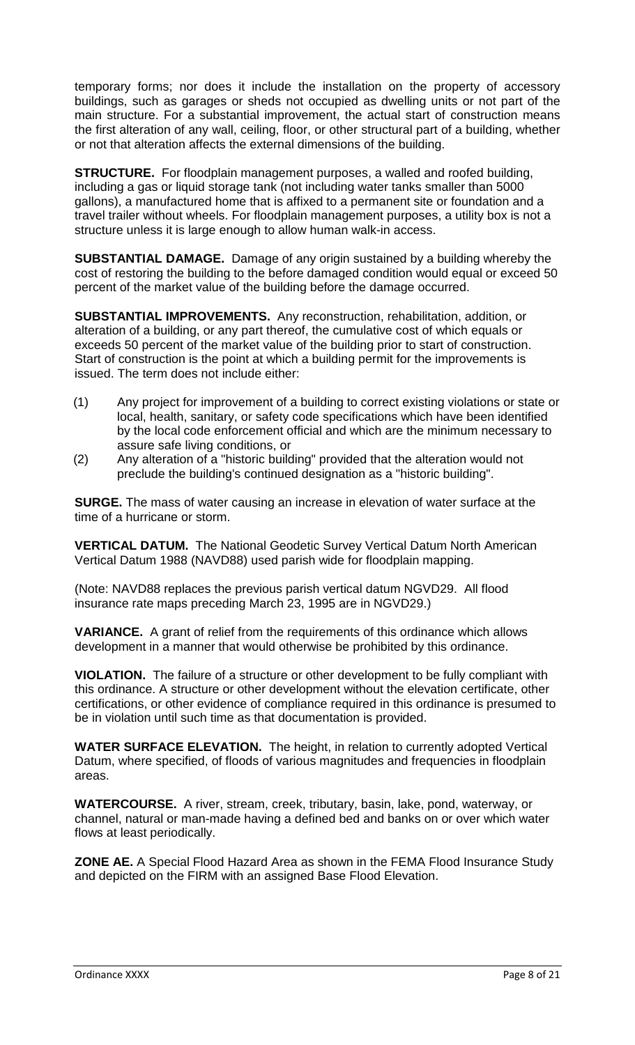temporary forms; nor does it include the installation on the property of accessory buildings, such as garages or sheds not occupied as dwelling units or not part of the main structure. For a substantial improvement, the actual start of construction means the first alteration of any wall, ceiling, floor, or other structural part of a building, whether or not that alteration affects the external dimensions of the building.

**STRUCTURE.** For floodplain management purposes, a walled and roofed building, including a gas or liquid storage tank (not including water tanks smaller than 5000 gallons), a manufactured home that is affixed to a permanent site or foundation and a travel trailer without wheels. For floodplain management purposes, a utility box is not a structure unless it is large enough to allow human walk-in access.

**SUBSTANTIAL DAMAGE.** Damage of any origin sustained by a building whereby the cost of restoring the building to the before damaged condition would equal or exceed 50 percent of the market value of the building before the damage occurred.

**SUBSTANTIAL IMPROVEMENTS.** Any reconstruction, rehabilitation, addition, or alteration of a building, or any part thereof, the cumulative cost of which equals or exceeds 50 percent of the market value of the building prior to start of construction. Start of construction is the point at which a building permit for the improvements is issued. The term does not include either:

- (1) Any project for improvement of a building to correct existing violations or state or local, health, sanitary, or safety code specifications which have been identified by the local code enforcement official and which are the minimum necessary to assure safe living conditions, or
- (2) Any alteration of a "historic building" provided that the alteration would not preclude the building's continued designation as a "historic building".

**SURGE.** The mass of water causing an increase in elevation of water surface at the time of a hurricane or storm.

**VERTICAL DATUM.** The National Geodetic Survey Vertical Datum North American Vertical Datum 1988 (NAVD88) used parish wide for floodplain mapping.

(Note: NAVD88 replaces the previous parish vertical datum NGVD29. All flood insurance rate maps preceding March 23, 1995 are in NGVD29.)

**VARIANCE.** A grant of relief from the requirements of this ordinance which allows development in a manner that would otherwise be prohibited by this ordinance.

**VIOLATION.** The failure of a structure or other development to be fully compliant with this ordinance. A structure or other development without the elevation certificate, other certifications, or other evidence of compliance required in this ordinance is presumed to be in violation until such time as that documentation is provided.

**WATER SURFACE ELEVATION.** The height, in relation to currently adopted Vertical Datum, where specified, of floods of various magnitudes and frequencies in floodplain areas.

**WATERCOURSE.** A river, stream, creek, tributary, basin, lake, pond, waterway, or channel, natural or man-made having a defined bed and banks on or over which water flows at least periodically.

**ZONE AE.** A Special Flood Hazard Area as shown in the FEMA Flood Insurance Study and depicted on the FIRM with an assigned Base Flood Elevation.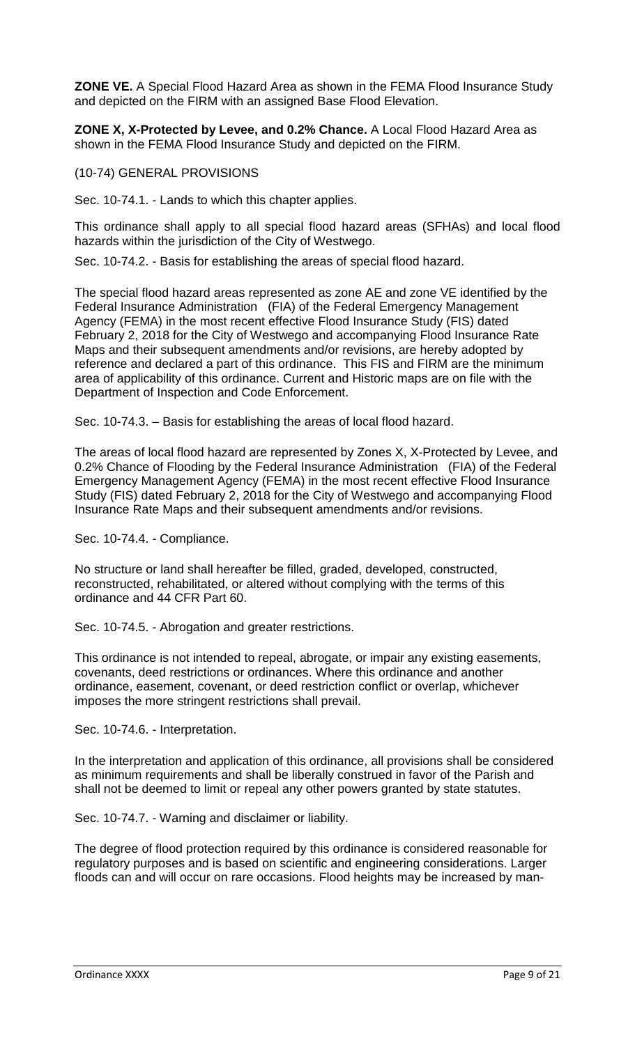**ZONE VE.** A Special Flood Hazard Area as shown in the FEMA Flood Insurance Study and depicted on the FIRM with an assigned Base Flood Elevation.

**ZONE X, X-Protected by Levee, and 0.2% Chance.** A Local Flood Hazard Area as shown in the FEMA Flood Insurance Study and depicted on the FIRM.

(10-74) GENERAL PROVISIONS

Sec. 10-74.1. - Lands to which this chapter applies.

This ordinance shall apply to all special flood hazard areas (SFHAs) and local flood hazards within the jurisdiction of the City of Westwego.

Sec. 10-74.2. - Basis for establishing the areas of special flood hazard.

The special flood hazard areas represented as zone AE and zone VE identified by the Federal Insurance Administration (FIA) of the Federal Emergency Management Agency (FEMA) in the most recent effective Flood Insurance Study (FIS) dated February 2, 2018 for the City of Westwego and accompanying Flood Insurance Rate Maps and their subsequent amendments and/or revisions, are hereby adopted by reference and declared a part of this ordinance. This FIS and FIRM are the minimum area of applicability of this ordinance. Current and Historic maps are on file with the Department of Inspection and Code Enforcement.

Sec. 10-74.3. – Basis for establishing the areas of local flood hazard.

The areas of local flood hazard are represented by Zones X, X-Protected by Levee, and 0.2% Chance of Flooding by the Federal Insurance Administration (FIA) of the Federal Emergency Management Agency (FEMA) in the most recent effective Flood Insurance Study (FIS) dated February 2, 2018 for the City of Westwego and accompanying Flood Insurance Rate Maps and their subsequent amendments and/or revisions.

Sec. 10-74.4. - Compliance.

No structure or land shall hereafter be filled, graded, developed, constructed, reconstructed, rehabilitated, or altered without complying with the terms of this ordinance and 44 CFR Part 60.

Sec. 10-74.5. - Abrogation and greater restrictions.

This ordinance is not intended to repeal, abrogate, or impair any existing easements, covenants, deed restrictions or ordinances. Where this ordinance and another ordinance, easement, covenant, or deed restriction conflict or overlap, whichever imposes the more stringent restrictions shall prevail.

Sec. 10-74.6. - Interpretation.

In the interpretation and application of this ordinance, all provisions shall be considered as minimum requirements and shall be liberally construed in favor of the Parish and shall not be deemed to limit or repeal any other powers granted by state statutes.

Sec. 10-74.7. - Warning and disclaimer or liability.

The degree of flood protection required by this ordinance is considered reasonable for regulatory purposes and is based on scientific and engineering considerations. Larger floods can and will occur on rare occasions. Flood heights may be increased by man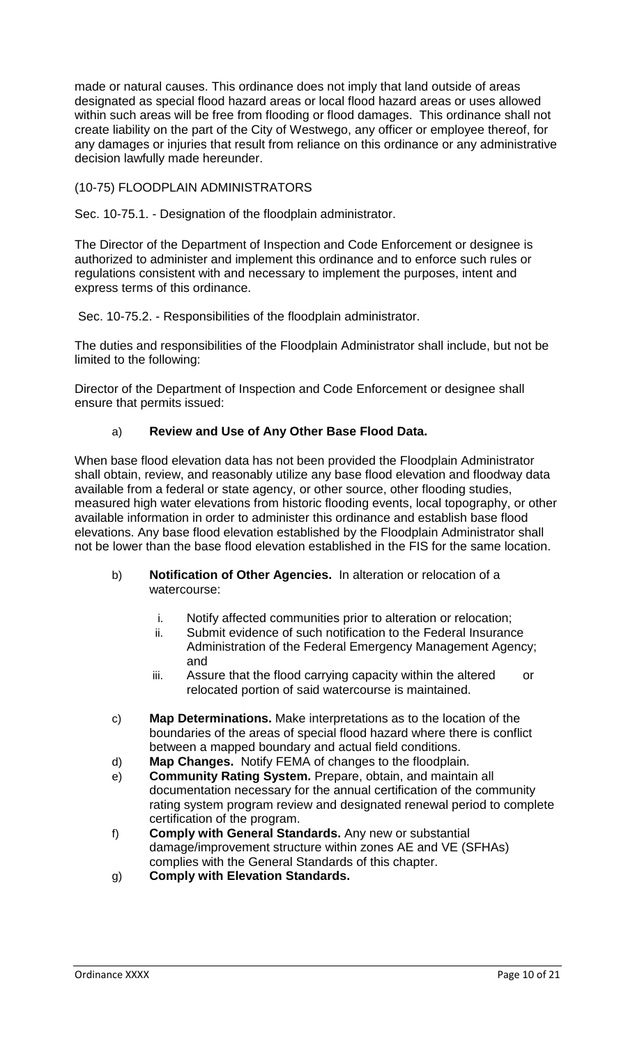made or natural causes. This ordinance does not imply that land outside of areas designated as special flood hazard areas or local flood hazard areas or uses allowed within such areas will be free from flooding or flood damages. This ordinance shall not create liability on the part of the City of Westwego, any officer or employee thereof, for any damages or injuries that result from reliance on this ordinance or any administrative decision lawfully made hereunder.

## (10-75) FLOODPLAIN ADMINISTRATORS

Sec. 10-75.1. - Designation of the floodplain administrator.

The Director of the Department of Inspection and Code Enforcement or designee is authorized to administer and implement this ordinance and to enforce such rules or regulations consistent with and necessary to implement the purposes, intent and express terms of this ordinance.

Sec. 10-75.2. - Responsibilities of the floodplain administrator.

The duties and responsibilities of the Floodplain Administrator shall include, but not be limited to the following:

Director of the Department of Inspection and Code Enforcement or designee shall ensure that permits issued:

# a) **Review and Use of Any Other Base Flood Data.**

When base flood elevation data has not been provided the Floodplain Administrator shall obtain, review, and reasonably utilize any base flood elevation and floodway data available from a federal or state agency, or other source, other flooding studies, measured high water elevations from historic flooding events, local topography, or other available information in order to administer this ordinance and establish base flood elevations. Any base flood elevation established by the Floodplain Administrator shall not be lower than the base flood elevation established in the FIS for the same location.

- b) **Notification of Other Agencies.** In alteration or relocation of a watercourse:
	- i. Notify affected communities prior to alteration or relocation;
	- ii. Submit evidence of such notification to the Federal Insurance Administration of the Federal Emergency Management Agency; and
	- iii. Assure that the flood carrying capacity within the altered or relocated portion of said watercourse is maintained.
- c) **Map Determinations.** Make interpretations as to the location of the boundaries of the areas of special flood hazard where there is conflict between a mapped boundary and actual field conditions.
- d) **Map Changes.** Notify FEMA of changes to the floodplain.
- e) **Community Rating System.** Prepare, obtain, and maintain all documentation necessary for the annual certification of the community rating system program review and designated renewal period to complete certification of the program.
- f) **Comply with General Standards.** Any new or substantial damage/improvement structure within zones AE and VE (SFHAs) complies with the General Standards of this chapter.
- g) **Comply with Elevation Standards.**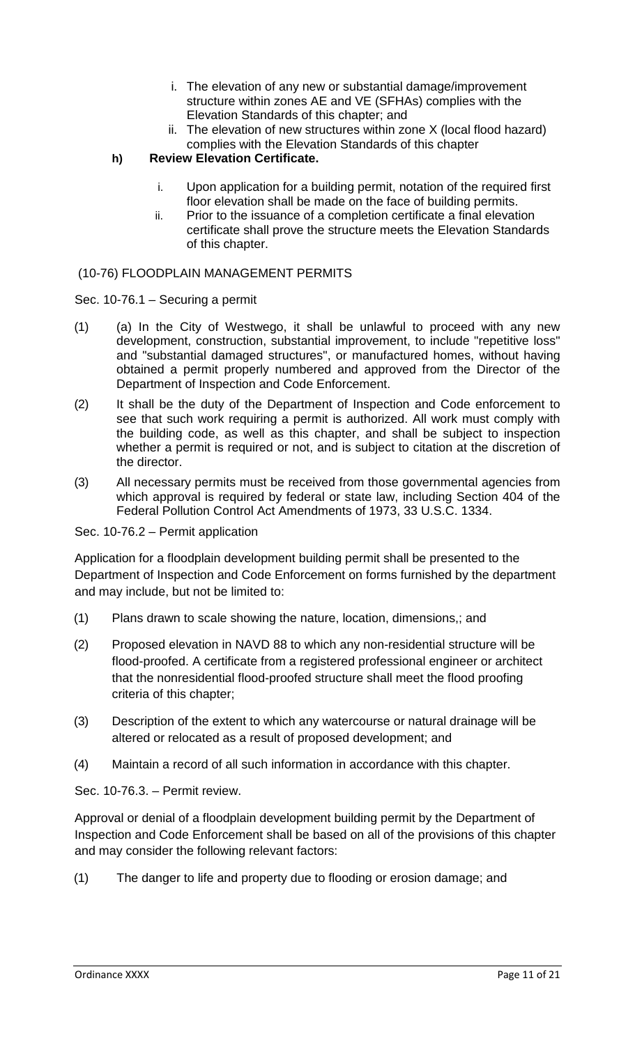- i. The elevation of any new or substantial damage/improvement structure within zones AE and VE (SFHAs) complies with the Elevation Standards of this chapter; and
- ii. The elevation of new structures within zone X (local flood hazard) complies with the Elevation Standards of this chapter

**h) Review Elevation Certificate.** 

- i. Upon application for a building permit, notation of the required first floor elevation shall be made on the face of building permits.
- ii. Prior to the issuance of a completion certificate a final elevation certificate shall prove the structure meets the Elevation Standards of this chapter.

### (10-76) FLOODPLAIN MANAGEMENT PERMITS

- Sec. 10-76.1 Securing a permit
- $(1)$  (a) In the City of Westwego, it shall be unlawful to proceed with any new development, construction, substantial improvement, to include "repetitive loss" and "substantial damaged structures", or manufactured homes, without having obtained a permit properly numbered and approved from the Director of the Department of Inspection and Code Enforcement.
- (2) It shall be the duty of the Department of Inspection and Code enforcement to see that such work requiring a permit is authorized. All work must comply with the building code, as well as this chapter, and shall be subject to inspection whether a permit is required or not, and is subject to citation at the discretion of the director.
- (3) All necessary permits must be received from those governmental agencies from which approval is required by federal or state law, including Section 404 of the Federal Pollution Control Act Amendments of 1973, 33 U.S.C. 1334.

Sec. 10-76.2 – Permit application

Application for a floodplain development building permit shall be presented to the Department of Inspection and Code Enforcement on forms furnished by the department and may include, but not be limited to:

- (1) Plans drawn to scale showing the nature, location, dimensions,; and
- (2) Proposed elevation in NAVD 88 to which any non-residential structure will be flood-proofed. A certificate from a registered professional engineer or architect that the nonresidential flood-proofed structure shall meet the flood proofing criteria of this chapter;
- (3) Description of the extent to which any watercourse or natural drainage will be altered or relocated as a result of proposed development; and
- (4) Maintain a record of all such information in accordance with this chapter.

Sec. 10-76.3. – Permit review.

Approval or denial of a floodplain development building permit by the Department of Inspection and Code Enforcement shall be based on all of the provisions of this chapter and may consider the following relevant factors:

(1) The danger to life and property due to flooding or erosion damage; and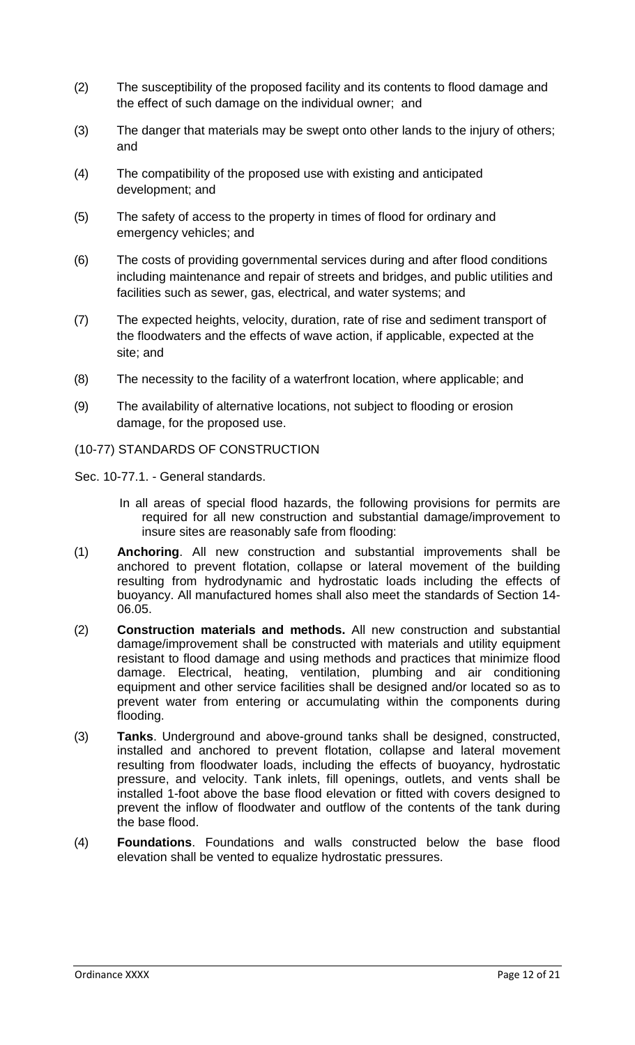- (2) The susceptibility of the proposed facility and its contents to flood damage and the effect of such damage on the individual owner; and
- (3) The danger that materials may be swept onto other lands to the injury of others; and
- (4) The compatibility of the proposed use with existing and anticipated development; and
- (5) The safety of access to the property in times of flood for ordinary and emergency vehicles; and
- (6) The costs of providing governmental services during and after flood conditions including maintenance and repair of streets and bridges, and public utilities and facilities such as sewer, gas, electrical, and water systems; and
- (7) The expected heights, velocity, duration, rate of rise and sediment transport of the floodwaters and the effects of wave action, if applicable, expected at the site; and
- (8) The necessity to the facility of a waterfront location, where applicable; and
- (9) The availability of alternative locations, not subject to flooding or erosion damage, for the proposed use.
- (10-77) STANDARDS OF CONSTRUCTION
- Sec. 10-77.1. General standards.
	- In all areas of special flood hazards, the following provisions for permits are required for all new construction and substantial damage/improvement to insure sites are reasonably safe from flooding:
- (1) **Anchoring**. All new construction and substantial improvements shall be anchored to prevent flotation, collapse or lateral movement of the building resulting from hydrodynamic and hydrostatic loads including the effects of buoyancy. All manufactured homes shall also meet the standards of Section 14- 06.05.
- (2) **Construction materials and methods.** All new construction and substantial damage/improvement shall be constructed with materials and utility equipment resistant to flood damage and using methods and practices that minimize flood damage. Electrical, heating, ventilation, plumbing and air conditioning equipment and other service facilities shall be designed and/or located so as to prevent water from entering or accumulating within the components during flooding.
- (3) **Tanks**. Underground and above-ground tanks shall be designed, constructed, installed and anchored to prevent flotation, collapse and lateral movement resulting from floodwater loads, including the effects of buoyancy, hydrostatic pressure, and velocity. Tank inlets, fill openings, outlets, and vents shall be installed 1-foot above the base flood elevation or fitted with covers designed to prevent the inflow of floodwater and outflow of the contents of the tank during the base flood.
- (4) **Foundations**. Foundations and walls constructed below the base flood elevation shall be vented to equalize hydrostatic pressures.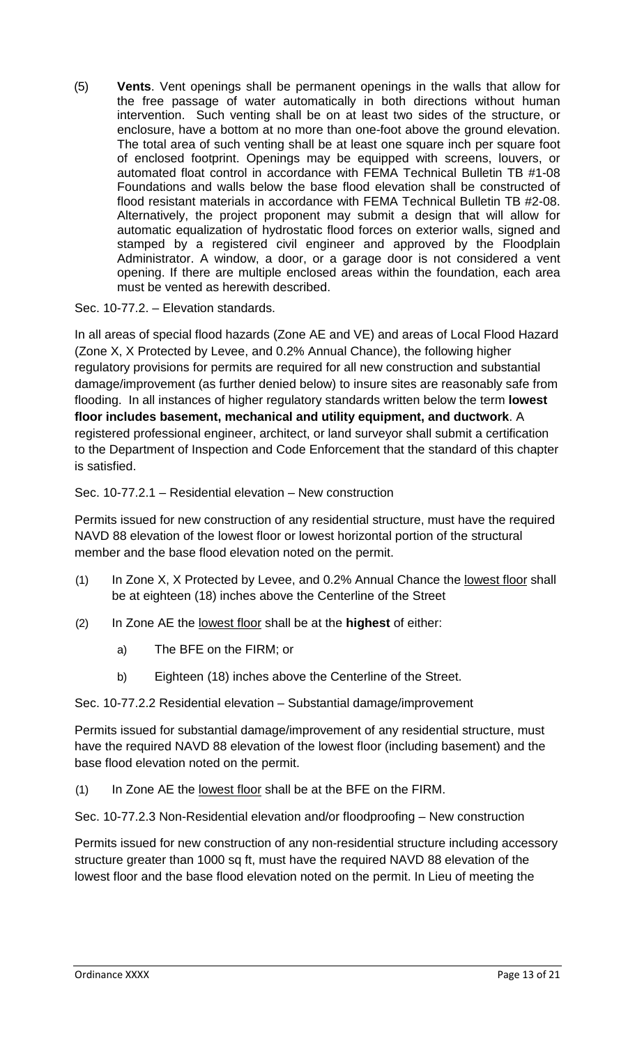(5) **Vents**. Vent openings shall be permanent openings in the walls that allow for the free passage of water automatically in both directions without human intervention. Such venting shall be on at least two sides of the structure, or enclosure, have a bottom at no more than one-foot above the ground elevation. The total area of such venting shall be at least one square inch per square foot of enclosed footprint. Openings may be equipped with screens, louvers, or automated float control in accordance with FEMA Technical Bulletin TB #1-08 Foundations and walls below the base flood elevation shall be constructed of flood resistant materials in accordance with FEMA Technical Bulletin TB #2-08. Alternatively, the project proponent may submit a design that will allow for automatic equalization of hydrostatic flood forces on exterior walls, signed and stamped by a registered civil engineer and approved by the Floodplain Administrator. A window, a door, or a garage door is not considered a vent opening. If there are multiple enclosed areas within the foundation, each area must be vented as herewith described.

Sec. 10-77.2. – Elevation standards.

In all areas of special flood hazards (Zone AE and VE) and areas of Local Flood Hazard (Zone X, X Protected by Levee, and 0.2% Annual Chance), the following higher regulatory provisions for permits are required for all new construction and substantial damage/improvement (as further denied below) to insure sites are reasonably safe from flooding. In all instances of higher regulatory standards written below the term **lowest floor includes basement, mechanical and utility equipment, and ductwork**. A registered professional engineer, architect, or land surveyor shall submit a certification to the Department of Inspection and Code Enforcement that the standard of this chapter is satisfied.

# Sec. 10-77.2.1 – Residential elevation – New construction

Permits issued for new construction of any residential structure, must have the required NAVD 88 elevation of the lowest floor or lowest horizontal portion of the structural member and the base flood elevation noted on the permit.

- (1) In Zone X, X Protected by Levee, and 0.2% Annual Chance the lowest floor shall be at eighteen (18) inches above the Centerline of the Street
- (2) In Zone AE the lowest floor shall be at the **highest** of either:
	- a) The BFE on the FIRM; or
	- b) Eighteen (18) inches above the Centerline of the Street.

Sec. 10-77.2.2 Residential elevation – Substantial damage/improvement

Permits issued for substantial damage/improvement of any residential structure, must have the required NAVD 88 elevation of the lowest floor (including basement) and the base flood elevation noted on the permit.

(1) In Zone AE the lowest floor shall be at the BFE on the FIRM.

Sec. 10-77.2.3 Non-Residential elevation and/or floodproofing – New construction

Permits issued for new construction of any non-residential structure including accessory structure greater than 1000 sq ft, must have the required NAVD 88 elevation of the lowest floor and the base flood elevation noted on the permit. In Lieu of meeting the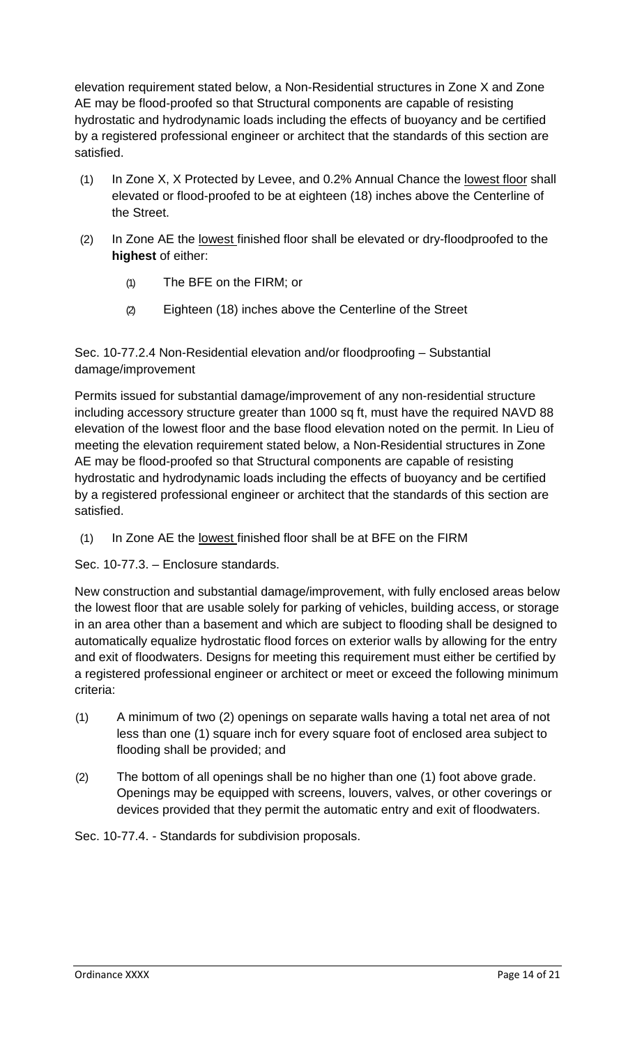elevation requirement stated below, a Non-Residential structures in Zone X and Zone AE may be flood-proofed so that Structural components are capable of resisting hydrostatic and hydrodynamic loads including the effects of buoyancy and be certified by a registered professional engineer or architect that the standards of this section are satisfied.

- (1) In Zone X, X Protected by Levee, and 0.2% Annual Chance the lowest floor shall elevated or flood-proofed to be at eighteen (18) inches above the Centerline of the Street.
- (2) In Zone AE the lowest finished floor shall be elevated or dry-floodproofed to the **highest** of either:
	- (1) The BFE on the FIRM; or
	- (2) Eighteen (18) inches above the Centerline of the Street

Sec. 10-77.2.4 Non-Residential elevation and/or floodproofing – Substantial damage/improvement

Permits issued for substantial damage/improvement of any non-residential structure including accessory structure greater than 1000 sq ft, must have the required NAVD 88 elevation of the lowest floor and the base flood elevation noted on the permit. In Lieu of meeting the elevation requirement stated below, a Non-Residential structures in Zone AE may be flood-proofed so that Structural components are capable of resisting hydrostatic and hydrodynamic loads including the effects of buoyancy and be certified by a registered professional engineer or architect that the standards of this section are satisfied.

(1) In Zone AE the lowest finished floor shall be at BFE on the FIRM

Sec. 10-77.3. – Enclosure standards.

New construction and substantial damage/improvement, with fully enclosed areas below the lowest floor that are usable solely for parking of vehicles, building access, or storage in an area other than a basement and which are subject to flooding shall be designed to automatically equalize hydrostatic flood forces on exterior walls by allowing for the entry and exit of floodwaters. Designs for meeting this requirement must either be certified by a registered professional engineer or architect or meet or exceed the following minimum criteria:

- (1) A minimum of two (2) openings on separate walls having a total net area of not less than one (1) square inch for every square foot of enclosed area subject to flooding shall be provided; and
- (2) The bottom of all openings shall be no higher than one (1) foot above grade. Openings may be equipped with screens, louvers, valves, or other coverings or devices provided that they permit the automatic entry and exit of floodwaters.

Sec. 10-77.4. - Standards for subdivision proposals.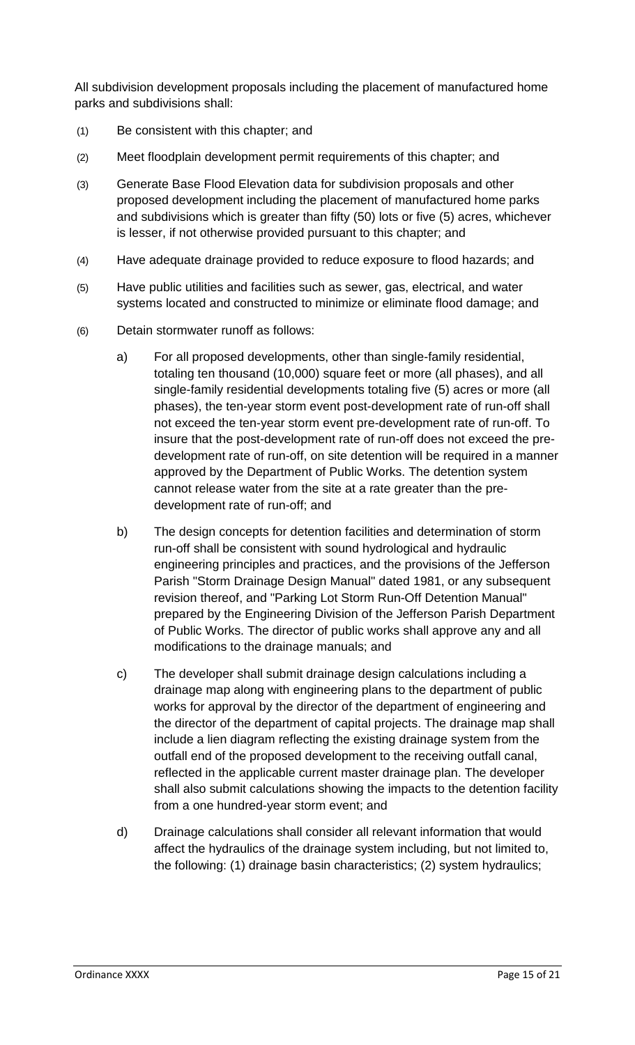All subdivision development proposals including the placement of manufactured home parks and subdivisions shall:

- (1) Be consistent with this chapter; and
- (2) Meet floodplain development permit requirements of this chapter; and
- (3) Generate Base Flood Elevation data for subdivision proposals and other proposed development including the placement of manufactured home parks and subdivisions which is greater than fifty (50) lots or five (5) acres, whichever is lesser, if not otherwise provided pursuant to this chapter; and
- (4) Have adequate drainage provided to reduce exposure to flood hazards; and
- (5) Have public utilities and facilities such as sewer, gas, electrical, and water systems located and constructed to minimize or eliminate flood damage; and
- (6) Detain stormwater runoff as follows:
	- a) For all proposed developments, other than single-family residential, totaling ten thousand (10,000) square feet or more (all phases), and all single-family residential developments totaling five (5) acres or more (all phases), the ten-year storm event post-development rate of run-off shall not exceed the ten-year storm event pre-development rate of run-off. To insure that the post-development rate of run-off does not exceed the predevelopment rate of run-off, on site detention will be required in a manner approved by the Department of Public Works. The detention system cannot release water from the site at a rate greater than the predevelopment rate of run-off; and
	- b) The design concepts for detention facilities and determination of storm run-off shall be consistent with sound hydrological and hydraulic engineering principles and practices, and the provisions of the Jefferson Parish "Storm Drainage Design Manual" dated 1981, or any subsequent revision thereof, and "Parking Lot Storm Run-Off Detention Manual" prepared by the Engineering Division of the Jefferson Parish Department of Public Works. The director of public works shall approve any and all modifications to the drainage manuals; and
	- c) The developer shall submit drainage design calculations including a drainage map along with engineering plans to the department of public works for approval by the director of the department of engineering and the director of the department of capital projects. The drainage map shall include a lien diagram reflecting the existing drainage system from the outfall end of the proposed development to the receiving outfall canal, reflected in the applicable current master drainage plan. The developer shall also submit calculations showing the impacts to the detention facility from a one hundred-year storm event; and
	- d) Drainage calculations shall consider all relevant information that would affect the hydraulics of the drainage system including, but not limited to, the following: (1) drainage basin characteristics; (2) system hydraulics;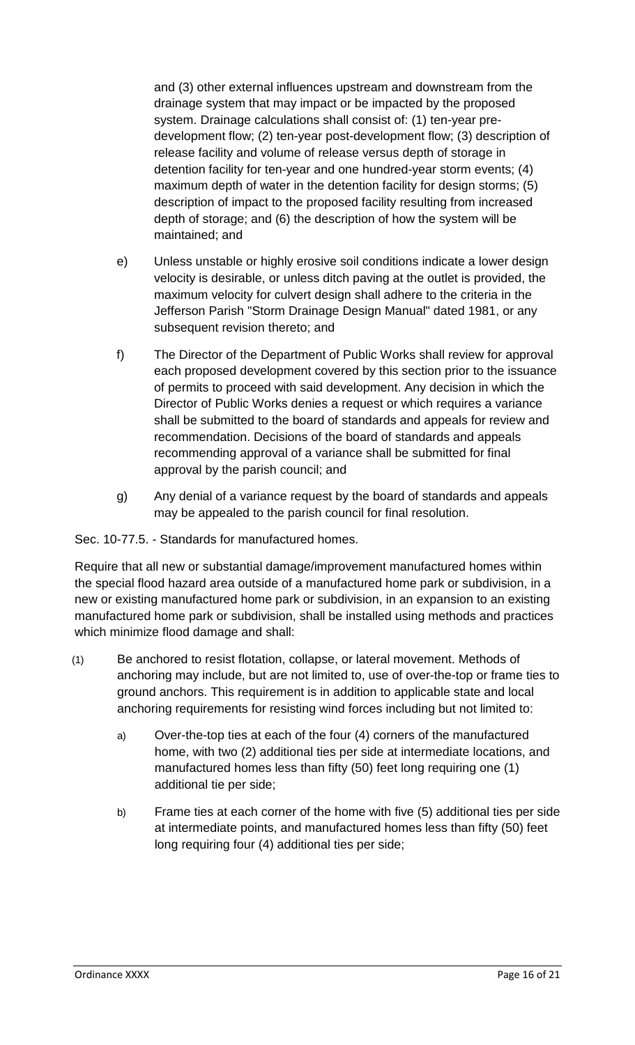and (3) other external influences upstream and downstream from the drainage system that may impact or be impacted by the proposed system. Drainage calculations shall consist of: (1) ten-year predevelopment flow; (2) ten-year post-development flow; (3) description of release facility and volume of release versus depth of storage in detention facility for ten-year and one hundred-year storm events; (4) maximum depth of water in the detention facility for design storms; (5) description of impact to the proposed facility resulting from increased depth of storage; and (6) the description of how the system will be maintained; and

- e) Unless unstable or highly erosive soil conditions indicate a lower design velocity is desirable, or unless ditch paving at the outlet is provided, the maximum velocity for culvert design shall adhere to the criteria in the Jefferson Parish "Storm Drainage Design Manual" dated 1981, or any subsequent revision thereto; and
- f) The Director of the Department of Public Works shall review for approval each proposed development covered by this section prior to the issuance of permits to proceed with said development. Any decision in which the Director of Public Works denies a request or which requires a variance shall be submitted to the board of standards and appeals for review and recommendation. Decisions of the board of standards and appeals recommending approval of a variance shall be submitted for final approval by the parish council; and
- g) Any denial of a variance request by the board of standards and appeals may be appealed to the parish council for final resolution.

# Sec. 10-77.5. - Standards for manufactured homes.

Require that all new or substantial damage/improvement manufactured homes within the special flood hazard area outside of a manufactured home park or subdivision, in a new or existing manufactured home park or subdivision, in an expansion to an existing manufactured home park or subdivision, shall be installed using methods and practices which minimize flood damage and shall:

- (1) Be anchored to resist flotation, collapse, or lateral movement. Methods of anchoring may include, but are not limited to, use of over-the-top or frame ties to ground anchors. This requirement is in addition to applicable state and local anchoring requirements for resisting wind forces including but not limited to:
	- a) Over-the-top ties at each of the four (4) corners of the manufactured home, with two (2) additional ties per side at intermediate locations, and manufactured homes less than fifty (50) feet long requiring one (1) additional tie per side;
	- b) Frame ties at each corner of the home with five (5) additional ties per side at intermediate points, and manufactured homes less than fifty (50) feet long requiring four (4) additional ties per side;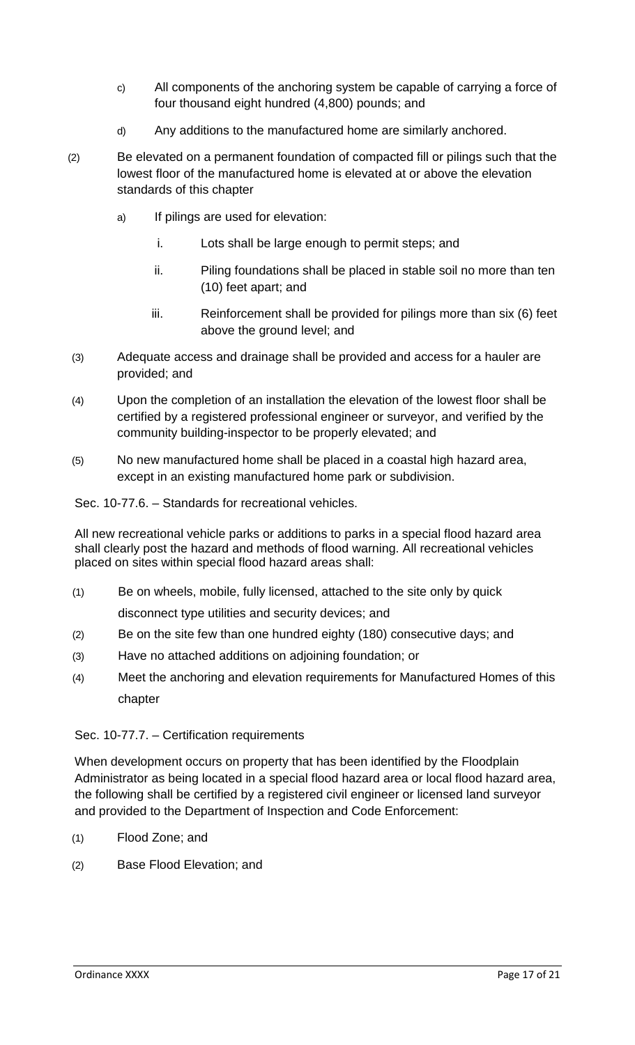- c) All components of the anchoring system be capable of carrying a force of four thousand eight hundred (4,800) pounds; and
- d) Any additions to the manufactured home are similarly anchored.
- (2) Be elevated on a permanent foundation of compacted fill or pilings such that the lowest floor of the manufactured home is elevated at or above the elevation standards of this chapter
	- a) If pilings are used for elevation:
		- i. Lots shall be large enough to permit steps; and
		- ii. Piling foundations shall be placed in stable soil no more than ten (10) feet apart; and
		- iii. Reinforcement shall be provided for pilings more than six (6) feet above the ground level; and
- (3) Adequate access and drainage shall be provided and access for a hauler are provided; and
- (4) Upon the completion of an installation the elevation of the lowest floor shall be certified by a registered professional engineer or surveyor, and verified by the community building-inspector to be properly elevated; and
- (5) No new manufactured home shall be placed in a coastal high hazard area, except in an existing manufactured home park or subdivision.

Sec. 10-77.6. – Standards for recreational vehicles.

All new recreational vehicle parks or additions to parks in a special flood hazard area shall clearly post the hazard and methods of flood warning. All recreational vehicles placed on sites within special flood hazard areas shall:

(1) Be on wheels, mobile, fully licensed, attached to the site only by quick

disconnect type utilities and security devices; and

- (2) Be on the site few than one hundred eighty (180) consecutive days; and
- (3) Have no attached additions on adjoining foundation; or
- (4) Meet the anchoring and elevation requirements for Manufactured Homes of this chapter

### Sec. 10-77.7. – Certification requirements

When development occurs on property that has been identified by the Floodplain Administrator as being located in a special flood hazard area or local flood hazard area, the following shall be certified by a registered civil engineer or licensed land surveyor and provided to the Department of Inspection and Code Enforcement:

- (1) Flood Zone; and
- (2) Base Flood Elevation; and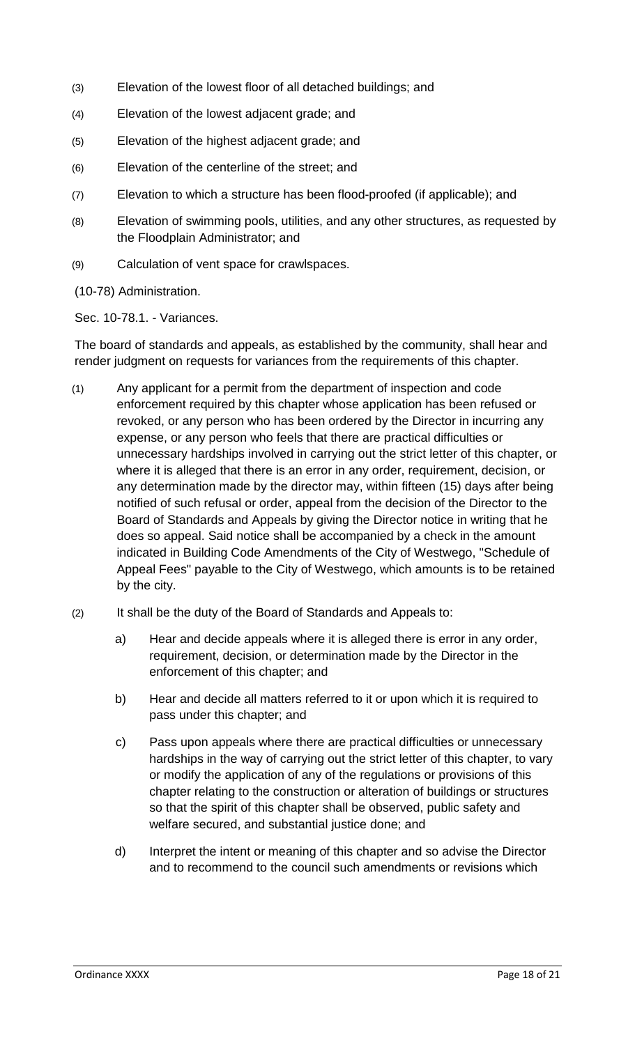- (3) Elevation of the lowest floor of all detached buildings; and
- (4) Elevation of the lowest adjacent grade; and
- (5) Elevation of the highest adjacent grade; and
- (6) Elevation of the centerline of the street; and
- (7) Elevation to which a structure has been flood-proofed (if applicable); and
- (8) Elevation of swimming pools, utilities, and any other structures, as requested by the Floodplain Administrator; and
- (9) Calculation of vent space for crawlspaces.

(10-78) Administration.

Sec. 10-78.1. - Variances.

The board of standards and appeals, as established by the community, shall hear and render judgment on requests for variances from the requirements of this chapter.

- (1) Any applicant for a permit from the department of inspection and code enforcement required by this chapter whose application has been refused or revoked, or any person who has been ordered by the Director in incurring any expense, or any person who feels that there are practical difficulties or unnecessary hardships involved in carrying out the strict letter of this chapter, or where it is alleged that there is an error in any order, requirement, decision, or any determination made by the director may, within fifteen (15) days after being notified of such refusal or order, appeal from the decision of the Director to the Board of Standards and Appeals by giving the Director notice in writing that he does so appeal. Said notice shall be accompanied by a check in the amount indicated in Building Code Amendments of the City of Westwego, "Schedule of Appeal Fees" payable to the City of Westwego, which amounts is to be retained by the city.
- (2) It shall be the duty of the Board of Standards and Appeals to:
	- a) Hear and decide appeals where it is alleged there is error in any order, requirement, decision, or determination made by the Director in the enforcement of this chapter; and
	- b) Hear and decide all matters referred to it or upon which it is required to pass under this chapter; and
	- c) Pass upon appeals where there are practical difficulties or unnecessary hardships in the way of carrying out the strict letter of this chapter, to vary or modify the application of any of the regulations or provisions of this chapter relating to the construction or alteration of buildings or structures so that the spirit of this chapter shall be observed, public safety and welfare secured, and substantial justice done; and
	- d) Interpret the intent or meaning of this chapter and so advise the Director and to recommend to the council such amendments or revisions which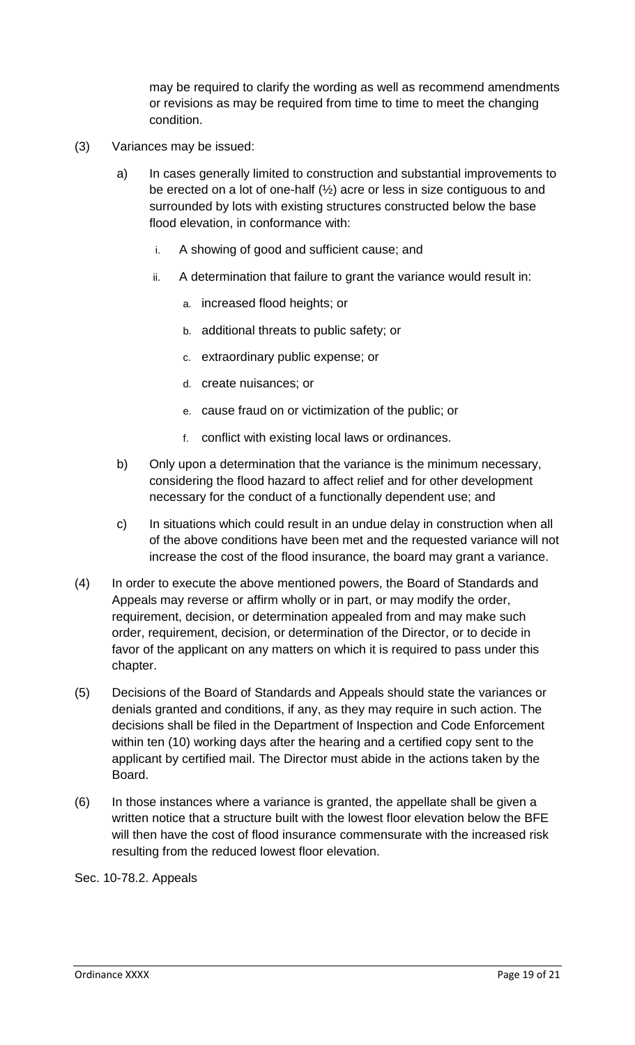may be required to clarify the wording as well as recommend amendments or revisions as may be required from time to time to meet the changing condition.

- (3) Variances may be issued:
	- a) In cases generally limited to construction and substantial improvements to be erected on a lot of one-half (½) acre or less in size contiguous to and surrounded by lots with existing structures constructed below the base flood elevation, in conformance with:
		- i. A showing of good and sufficient cause; and
		- ii. A determination that failure to grant the variance would result in:
			- a. increased flood heights; or
			- b. additional threats to public safety; or
			- c. extraordinary public expense; or
			- d. create nuisances; or
			- e. cause fraud on or victimization of the public; or
			- f. conflict with existing local laws or ordinances.
	- b) Only upon a determination that the variance is the minimum necessary, considering the flood hazard to affect relief and for other development necessary for the conduct of a functionally dependent use; and
	- c) In situations which could result in an undue delay in construction when all of the above conditions have been met and the requested variance will not increase the cost of the flood insurance, the board may grant a variance.
- (4) In order to execute the above mentioned powers, the Board of Standards and Appeals may reverse or affirm wholly or in part, or may modify the order, requirement, decision, or determination appealed from and may make such order, requirement, decision, or determination of the Director, or to decide in favor of the applicant on any matters on which it is required to pass under this chapter.
- (5) Decisions of the Board of Standards and Appeals should state the variances or denials granted and conditions, if any, as they may require in such action. The decisions shall be filed in the Department of Inspection and Code Enforcement within ten (10) working days after the hearing and a certified copy sent to the applicant by certified mail. The Director must abide in the actions taken by the Board.
- (6) In those instances where a variance is granted, the appellate shall be given a written notice that a structure built with the lowest floor elevation below the BFE will then have the cost of flood insurance commensurate with the increased risk resulting from the reduced lowest floor elevation.

Sec. 10-78.2. Appeals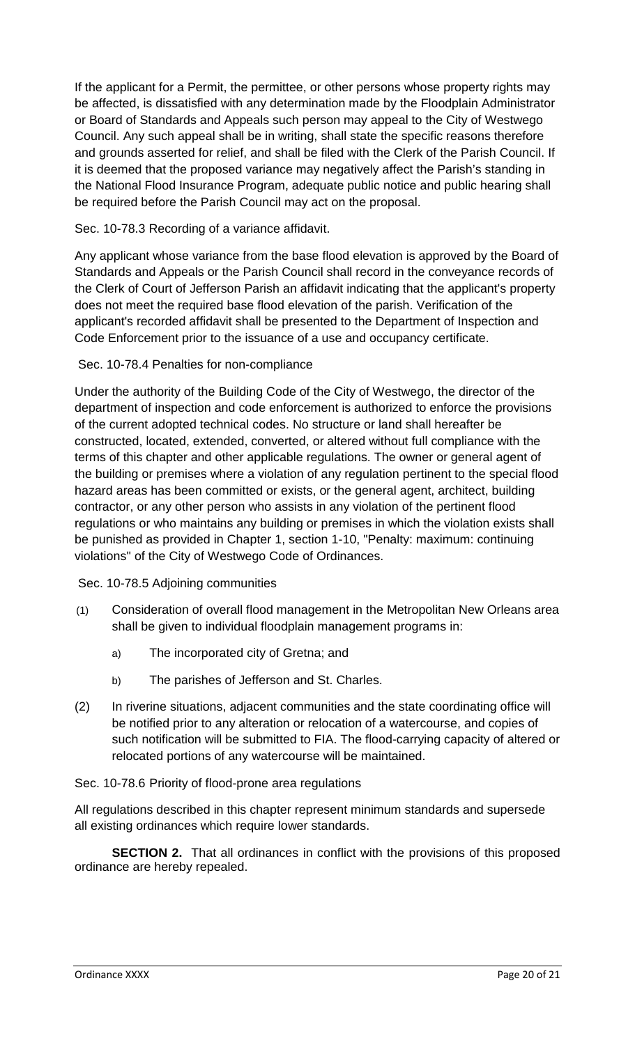If the applicant for a Permit, the permittee, or other persons whose property rights may be affected, is dissatisfied with any determination made by the Floodplain Administrator or Board of Standards and Appeals such person may appeal to the City of Westwego Council. Any such appeal shall be in writing, shall state the specific reasons therefore and grounds asserted for relief, and shall be filed with the Clerk of the Parish Council. If it is deemed that the proposed variance may negatively affect the Parish's standing in the National Flood Insurance Program, adequate public notice and public hearing shall be required before the Parish Council may act on the proposal.

# Sec. 10-78.3 Recording of a variance affidavit.

Any applicant whose variance from the base flood elevation is approved by the Board of Standards and Appeals or the Parish Council shall record in the conveyance records of the Clerk of Court of Jefferson Parish an affidavit indicating that the applicant's property does not meet the required base flood elevation of the parish. Verification of the applicant's recorded affidavit shall be presented to the Department of Inspection and Code Enforcement prior to the issuance of a use and occupancy certificate.

# Sec. 10-78.4 Penalties for non-compliance

Under the authority of the Building Code of the City of Westwego, the director of the department of inspection and code enforcement is authorized to enforce the provisions of the current adopted technical codes. No structure or land shall hereafter be constructed, located, extended, converted, or altered without full compliance with the terms of this chapter and other applicable regulations. The owner or general agent of the building or premises where a violation of any regulation pertinent to the special flood hazard areas has been committed or exists, or the general agent, architect, building contractor, or any other person who assists in any violation of the pertinent flood regulations or who maintains any building or premises in which the violation exists shall be punished as provided in Chapter 1, section 1-10, "Penalty: maximum: continuing violations" of the City of Westwego Code of Ordinances.

Sec. 10-78.5 Adjoining communities

- (1) Consideration of overall flood management in the Metropolitan New Orleans area shall be given to individual floodplain management programs in:
	- a) The incorporated city of Gretna; and
	- b) The parishes of Jefferson and St. Charles.
- (2) In riverine situations, adjacent communities and the state coordinating office will be notified prior to any alteration or relocation of a watercourse, and copies of such notification will be submitted to FIA. The flood-carrying capacity of altered or relocated portions of any watercourse will be maintained.

### Sec. 10-78.6 Priority of flood-prone area regulations

All regulations described in this chapter represent minimum standards and supersede all existing ordinances which require lower standards.

**SECTION 2.** That all ordinances in conflict with the provisions of this proposed ordinance are hereby repealed.